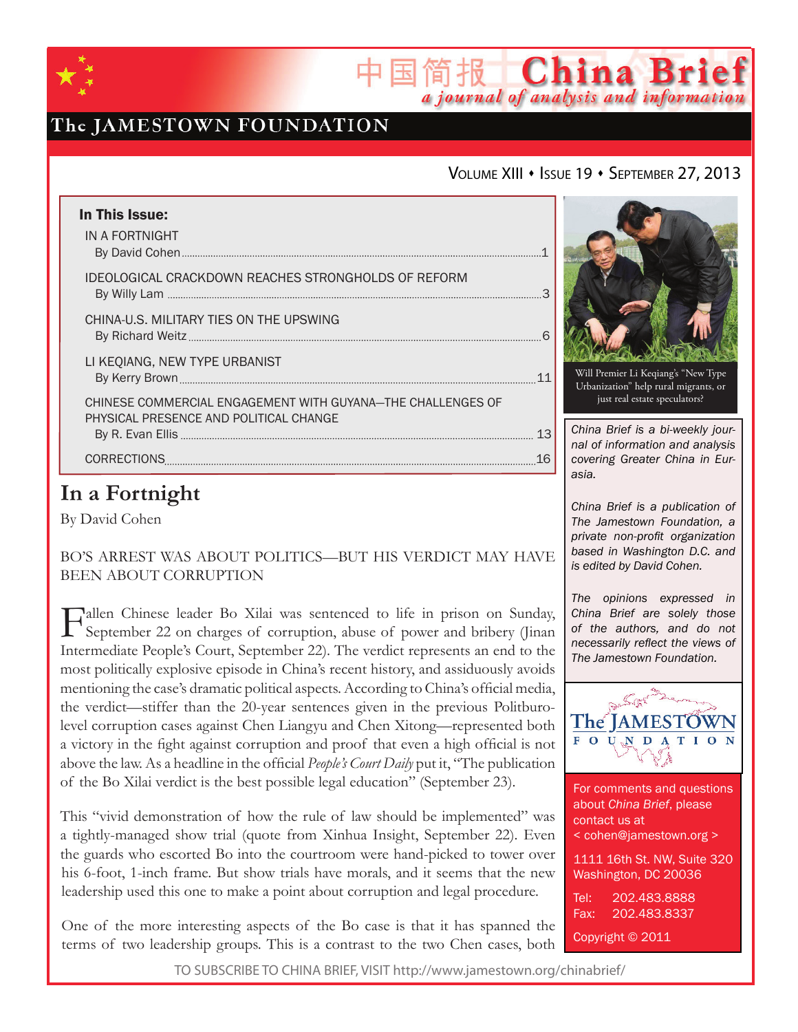

# The JAMESTOWN FOUNDATION

### VOLUME XIII · ISSUE 19 · SEPTEMBER 27, 2013

简报 China Brief

a journal of analysis and information

| In This Issue:<br>IN A FORTNIGHT                                                                      |  |
|-------------------------------------------------------------------------------------------------------|--|
| IDEOLOGICAL CRACKDOWN REACHES STRONGHOLDS OF REFORM                                                   |  |
| CHINA-U.S. MILITARY TIES ON THE UPSWING                                                               |  |
| LI KEQIANG, NEW TYPE URBANIST                                                                         |  |
| CHINESE COMMERCIAL ENGAGEMENT WITH GUYANA-THE CHALLENGES OF<br>PHYSICAL PRESENCE AND POLITICAL CHANGE |  |
| CORRECTIONS<br>16                                                                                     |  |

# **In a Fortnight**

By David Cohen

Bo's Arrest was About Politics—But His Verdict May Have BEEN ABOUT CORRUPTION

Fallen Chinese leader Bo Xilai was sentenced to life in prison on Sunday,<br>September 22 on charges of corruption, abuse of power and bribery (Jinan Intermediate People's Court, September 22). The verdict represents an end to the most politically explosive episode in China's recent history, and assiduously avoids mentioning the case's dramatic political aspects. According to China's official media, the verdict—stiffer than the 20-year sentences given in the previous Politburolevel corruption cases against Chen Liangyu and Chen Xitong—represented both a victory in the fight against corruption and proof that even a high official is not above the law. As a headline in the official *People's Court Daily* put it, "The publication of the Bo Xilai verdict is the best possible legal education" (September 23).

This "vivid demonstration of how the rule of law should be implemented" was a tightly-managed show trial (quote from Xinhua Insight, September 22). Even the guards who escorted Bo into the courtroom were hand-picked to tower over his 6-foot, 1-inch frame. But show trials have morals, and it seems that the new leadership used this one to make a point about corruption and legal procedure.

One of the more interesting aspects of the Bo case is that it has spanned the terms of two leadership groups. This is a contrast to the two Chen cases, both



Will Premier Li Keqiang's "New Type Urbanization" help rural migrants, or just real estate speculators?

*China Brief is a bi-weekly journal of information and analysis covering Greater China in Eurasia.* 

*China Brief is a publication of The Jamestown Foundation, a private non-profit organization based in Washington D.C. and is edited by David Cohen.*

*The opinions expressed in China Brief are solely those of the authors, and do not necessarily reflect the views of The Jamestown Foundation.*



For comments and questions about *China Brief*, please contact us at < cohen@jamestown.org > 1111 16th St. NW, Suite 320 Washington, DC 20036 Tel: 202.483.8888 Fax: 202.483.8337 Copyright © 2011

TO SUBSCRIBE TO CHINA BRIEF, VISIT http://www.jamestown.org/chinabrief/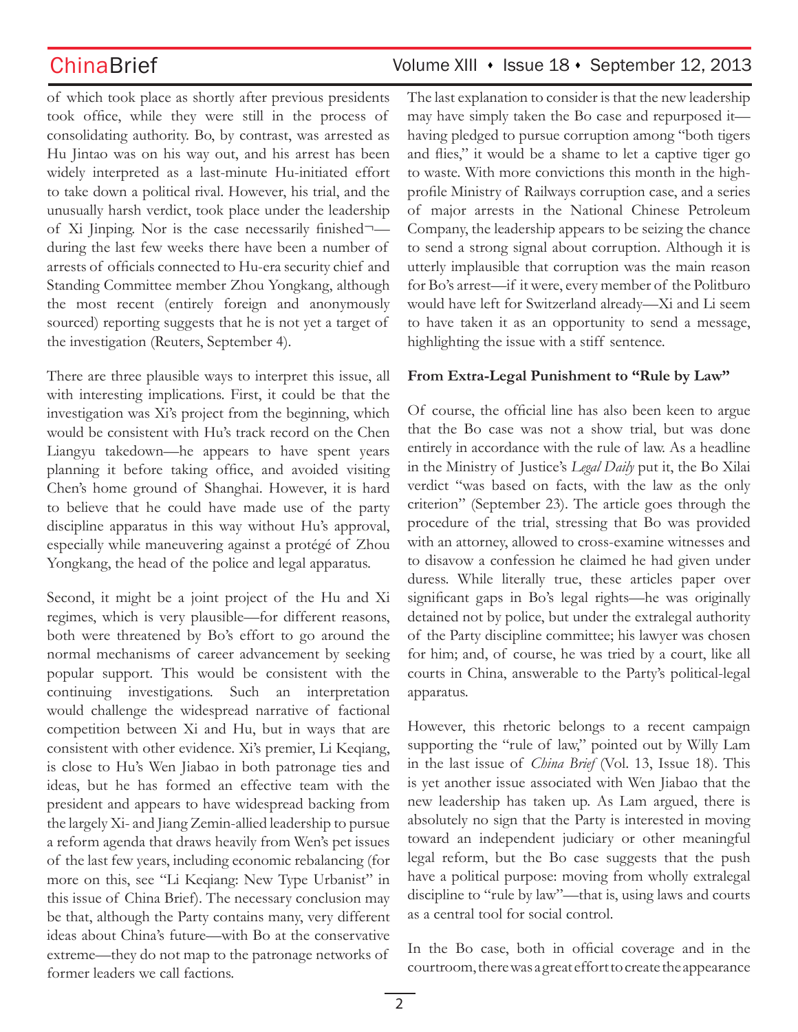of which took place as shortly after previous presidents took office, while they were still in the process of consolidating authority. Bo, by contrast, was arrested as Hu Jintao was on his way out, and his arrest has been widely interpreted as a last-minute Hu-initiated effort to take down a political rival. However, his trial, and the unusually harsh verdict, took place under the leadership of Xi Jinping. Nor is the case necessarily finished¬ during the last few weeks there have been a number of arrests of officials connected to Hu-era security chief and Standing Committee member Zhou Yongkang, although the most recent (entirely foreign and anonymously sourced) reporting suggests that he is not yet a target of the investigation (Reuters, September 4).

There are three plausible ways to interpret this issue, all with interesting implications. First, it could be that the investigation was Xi's project from the beginning, which would be consistent with Hu's track record on the Chen Liangyu takedown—he appears to have spent years planning it before taking office, and avoided visiting Chen's home ground of Shanghai. However, it is hard to believe that he could have made use of the party discipline apparatus in this way without Hu's approval, especially while maneuvering against a protégé of Zhou Yongkang, the head of the police and legal apparatus.

Second, it might be a joint project of the Hu and Xi regimes, which is very plausible—for different reasons, both were threatened by Bo's effort to go around the normal mechanisms of career advancement by seeking popular support. This would be consistent with the continuing investigations. Such an interpretation would challenge the widespread narrative of factional competition between Xi and Hu, but in ways that are consistent with other evidence. Xi's premier, Li Keqiang, is close to Hu's Wen Jiabao in both patronage ties and ideas, but he has formed an effective team with the president and appears to have widespread backing from the largely Xi- and Jiang Zemin-allied leadership to pursue a reform agenda that draws heavily from Wen's pet issues of the last few years, including economic rebalancing (for more on this, see "Li Keqiang: New Type Urbanist" in this issue of China Brief). The necessary conclusion may be that, although the Party contains many, very different ideas about China's future—with Bo at the conservative extreme—they do not map to the patronage networks of former leaders we call factions.

### ChinaBrief Volume XIII • Issue 18 • September 12, 2013

The last explanation to consider is that the new leadership may have simply taken the Bo case and repurposed it having pledged to pursue corruption among "both tigers and flies," it would be a shame to let a captive tiger go to waste. With more convictions this month in the highprofile Ministry of Railways corruption case, and a series of major arrests in the National Chinese Petroleum Company, the leadership appears to be seizing the chance to send a strong signal about corruption. Although it is utterly implausible that corruption was the main reason for Bo's arrest—if it were, every member of the Politburo would have left for Switzerland already—Xi and Li seem to have taken it as an opportunity to send a message, highlighting the issue with a stiff sentence.

### **From Extra-Legal Punishment to "Rule by Law"**

Of course, the official line has also been keen to argue that the Bo case was not a show trial, but was done entirely in accordance with the rule of law. As a headline in the Ministry of Justice's *Legal Daily* put it, the Bo Xilai verdict "was based on facts, with the law as the only criterion" (September 23). The article goes through the procedure of the trial, stressing that Bo was provided with an attorney, allowed to cross-examine witnesses and to disavow a confession he claimed he had given under duress. While literally true, these articles paper over significant gaps in Bo's legal rights—he was originally detained not by police, but under the extralegal authority of the Party discipline committee; his lawyer was chosen for him; and, of course, he was tried by a court, like all courts in China, answerable to the Party's political-legal apparatus.

However, this rhetoric belongs to a recent campaign supporting the "rule of law," pointed out by Willy Lam in the last issue of *China Brief* (Vol. 13, Issue 18). This is yet another issue associated with Wen Jiabao that the new leadership has taken up. As Lam argued, there is absolutely no sign that the Party is interested in moving toward an independent judiciary or other meaningful legal reform, but the Bo case suggests that the push have a political purpose: moving from wholly extralegal discipline to "rule by law"—that is, using laws and courts as a central tool for social control.

In the Bo case, both in official coverage and in the courtroom, there was a great effort to create the appearance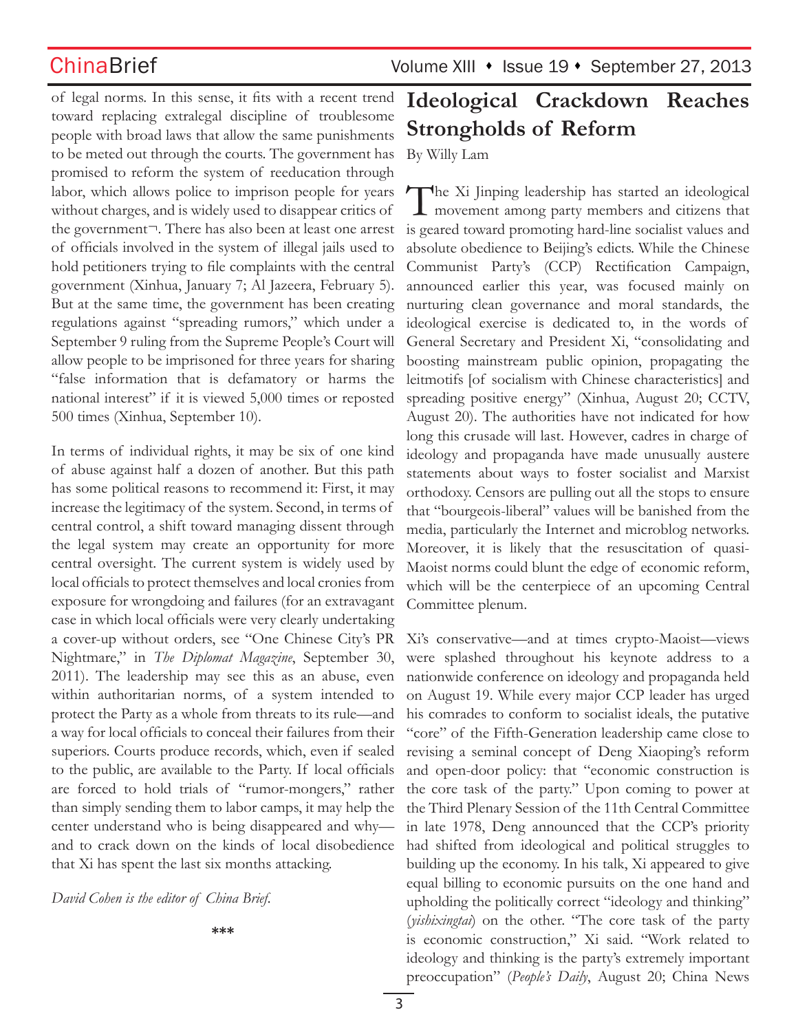of legal norms. In this sense, it fits with a recent trend toward replacing extralegal discipline of troublesome people with broad laws that allow the same punishments to be meted out through the courts. The government has promised to reform the system of reeducation through labor, which allows police to imprison people for years without charges, and is widely used to disappear critics of the government¬. There has also been at least one arrest of officials involved in the system of illegal jails used to hold petitioners trying to file complaints with the central government (Xinhua, January 7; Al Jazeera, February 5). But at the same time, the government has been creating regulations against "spreading rumors," which under a September 9 ruling from the Supreme People's Court will allow people to be imprisoned for three years for sharing "false information that is defamatory or harms the national interest" if it is viewed 5,000 times or reposted 500 times (Xinhua, September 10).

In terms of individual rights, it may be six of one kind of abuse against half a dozen of another. But this path has some political reasons to recommend it: First, it may increase the legitimacy of the system. Second, in terms of central control, a shift toward managing dissent through the legal system may create an opportunity for more central oversight. The current system is widely used by local officials to protect themselves and local cronies from exposure for wrongdoing and failures (for an extravagant case in which local officials were very clearly undertaking a cover-up without orders, see "One Chinese City's PR Nightmare," in *The Diplomat Magazine*, September 30, 2011). The leadership may see this as an abuse, even within authoritarian norms, of a system intended to protect the Party as a whole from threats to its rule—and a way for local officials to conceal their failures from their superiors. Courts produce records, which, even if sealed to the public, are available to the Party. If local officials are forced to hold trials of "rumor-mongers," rather than simply sending them to labor camps, it may help the center understand who is being disappeared and why and to crack down on the kinds of local disobedience that Xi has spent the last six months attacking.

*David Cohen is the editor of China Brief.*

**\*\*\***

# **Ideological Crackdown Reaches Strongholds of Reform**

By Willy Lam

The Xi Jinping leadership has started an ideological **1** movement among party members and citizens that is geared toward promoting hard-line socialist values and absolute obedience to Beijing's edicts. While the Chinese Communist Party's (CCP) Rectification Campaign, announced earlier this year, was focused mainly on nurturing clean governance and moral standards, the ideological exercise is dedicated to, in the words of General Secretary and President Xi, "consolidating and boosting mainstream public opinion, propagating the leitmotifs [of socialism with Chinese characteristics] and spreading positive energy" (Xinhua, August 20; CCTV, August 20). The authorities have not indicated for how long this crusade will last. However, cadres in charge of ideology and propaganda have made unusually austere statements about ways to foster socialist and Marxist orthodoxy. Censors are pulling out all the stops to ensure that "bourgeois-liberal" values will be banished from the media, particularly the Internet and microblog networks. Moreover, it is likely that the resuscitation of quasi-Maoist norms could blunt the edge of economic reform, which will be the centerpiece of an upcoming Central Committee plenum.

Xi's conservative—and at times crypto-Maoist—views were splashed throughout his keynote address to a nationwide conference on ideology and propaganda held on August 19. While every major CCP leader has urged his comrades to conform to socialist ideals, the putative "core" of the Fifth-Generation leadership came close to revising a seminal concept of Deng Xiaoping's reform and open-door policy: that "economic construction is the core task of the party." Upon coming to power at the Third Plenary Session of the 11th Central Committee in late 1978, Deng announced that the CCP's priority had shifted from ideological and political struggles to building up the economy. In his talk, Xi appeared to give equal billing to economic pursuits on the one hand and upholding the politically correct "ideology and thinking" (*yishixingtai*) on the other. "The core task of the party is economic construction," Xi said. "Work related to ideology and thinking is the party's extremely important preoccupation" (*People's Daily*, August 20; China News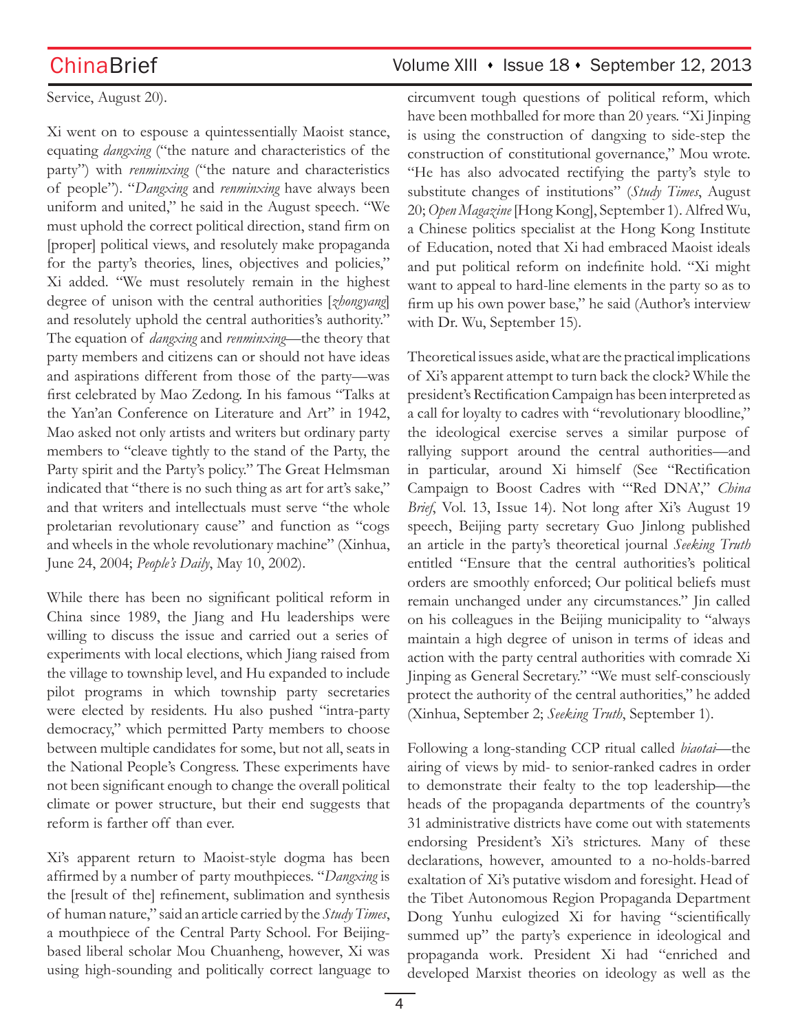### Service, August 20).

Xi went on to espouse a quintessentially Maoist stance, equating *dangxing* ("the nature and characteristics of the party") with *renminxing* ("the nature and characteristics of people"). "*Dangxing* and *renminxing* have always been uniform and united," he said in the August speech. "We must uphold the correct political direction, stand firm on [proper] political views, and resolutely make propaganda for the party's theories, lines, objectives and policies," Xi added. "We must resolutely remain in the highest degree of unison with the central authorities [*zhongyang*] and resolutely uphold the central authorities's authority." The equation of *dangxing* and *renminxing*—the theory that party members and citizens can or should not have ideas and aspirations different from those of the party—was first celebrated by Mao Zedong. In his famous "Talks at the Yan'an Conference on Literature and Art" in 1942, Mao asked not only artists and writers but ordinary party members to "cleave tightly to the stand of the Party, the Party spirit and the Party's policy." The Great Helmsman indicated that "there is no such thing as art for art's sake," and that writers and intellectuals must serve "the whole proletarian revolutionary cause" and function as "cogs and wheels in the whole revolutionary machine" (Xinhua, June 24, 2004; *People's Daily*, May 10, 2002).

While there has been no significant political reform in China since 1989, the Jiang and Hu leaderships were willing to discuss the issue and carried out a series of experiments with local elections, which Jiang raised from the village to township level, and Hu expanded to include pilot programs in which township party secretaries were elected by residents. Hu also pushed "intra-party democracy," which permitted Party members to choose between multiple candidates for some, but not all, seats in the National People's Congress. These experiments have not been significant enough to change the overall political climate or power structure, but their end suggests that reform is farther off than ever.

Xi's apparent return to Maoist-style dogma has been affirmed by a number of party mouthpieces. "*Dangxing* is the [result of the] refinement, sublimation and synthesis of human nature," said an article carried by the *Study Times*, a mouthpiece of the Central Party School. For Beijingbased liberal scholar Mou Chuanheng, however, Xi was using high-sounding and politically correct language to

# ChinaBrief Volume XIII • Issue 18 • September 12, 2013

circumvent tough questions of political reform, which have been mothballed for more than 20 years. "Xi Jinping is using the construction of dangxing to side-step the construction of constitutional governance," Mou wrote. "He has also advocated rectifying the party's style to substitute changes of institutions" (*Study Times*, August 20; *Open Magazine* [Hong Kong], September 1). Alfred Wu, a Chinese politics specialist at the Hong Kong Institute of Education, noted that Xi had embraced Maoist ideals and put political reform on indefinite hold. "Xi might want to appeal to hard-line elements in the party so as to firm up his own power base," he said (Author's interview with Dr. Wu, September 15).

Theoretical issues aside, what are the practical implications of Xi's apparent attempt to turn back the clock? While the president's Rectification Campaign has been interpreted as a call for loyalty to cadres with "revolutionary bloodline," the ideological exercise serves a similar purpose of rallying support around the central authorities—and in particular, around Xi himself (See "Rectification Campaign to Boost Cadres with "'Red DNA'," *China Brief*, Vol. 13, Issue 14). Not long after Xi's August 19 speech, Beijing party secretary Guo Jinlong published an article in the party's theoretical journal *Seeking Truth* entitled "Ensure that the central authorities's political orders are smoothly enforced; Our political beliefs must remain unchanged under any circumstances." Jin called on his colleagues in the Beijing municipality to "always maintain a high degree of unison in terms of ideas and action with the party central authorities with comrade Xi Jinping as General Secretary." "We must self-consciously protect the authority of the central authorities," he added (Xinhua, September 2; *Seeking Truth*, September 1).

Following a long-standing CCP ritual called *biaotai*—the airing of views by mid- to senior-ranked cadres in order to demonstrate their fealty to the top leadership—the heads of the propaganda departments of the country's 31 administrative districts have come out with statements endorsing President's Xi's strictures. Many of these declarations, however, amounted to a no-holds-barred exaltation of Xi's putative wisdom and foresight. Head of the Tibet Autonomous Region Propaganda Department Dong Yunhu eulogized Xi for having "scientifically summed up" the party's experience in ideological and propaganda work. President Xi had "enriched and developed Marxist theories on ideology as well as the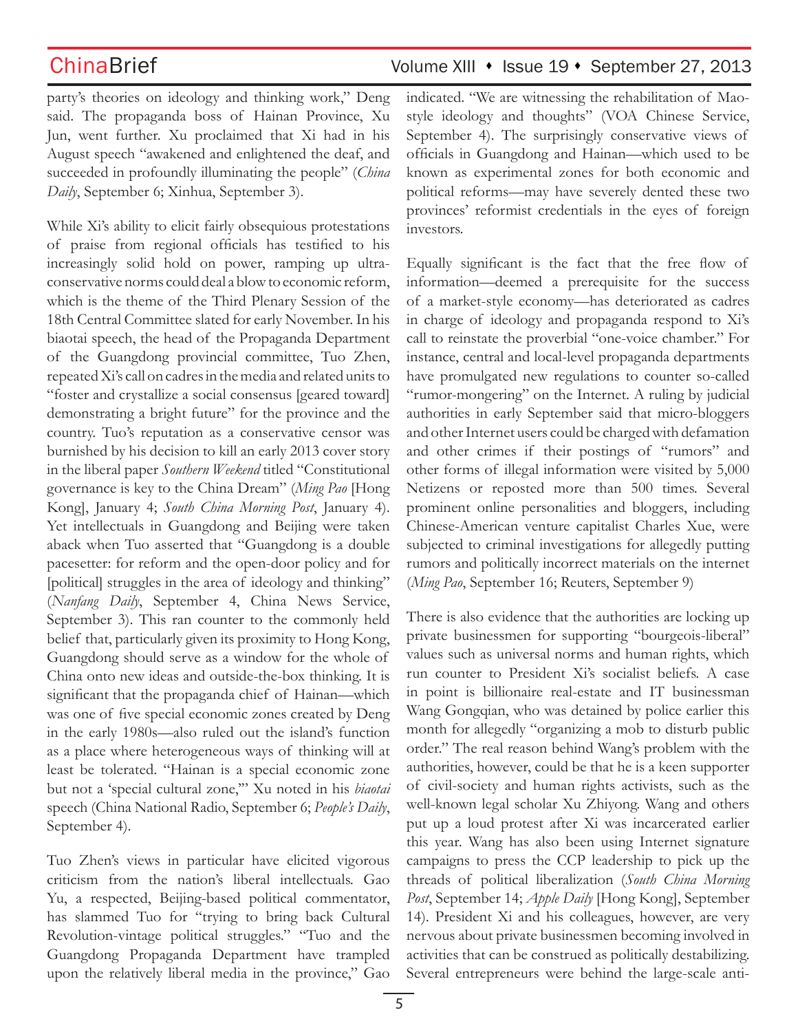party's theories on ideology and thinking work," Deng said. The propaganda boss of Hainan Province, Xu Jun, went further. Xu proclaimed that Xi had in his August speech "awakened and enlightened the deaf, and succeeded in profoundly illuminating the people" (*China Daily*, September 6; Xinhua, September 3).

While Xi's ability to elicit fairly obsequious protestations of praise from regional officials has testified to his increasingly solid hold on power, ramping up ultraconservative norms could deal a blow to economic reform, which is the theme of the Third Plenary Session of the 18th Central Committee slated for early November. In his biaotai speech, the head of the Propaganda Department of the Guangdong provincial committee, Tuo Zhen, repeated Xi's call on cadres in the media and related units to "foster and crystallize a social consensus [geared toward] demonstrating a bright future" for the province and the country. Tuo's reputation as a conservative censor was burnished by his decision to kill an early 2013 cover story in the liberal paper *Southern Weekend* titled "Constitutional governance is key to the China Dream" (*Ming Pao* [Hong Kong], January 4; *South China Morning Post*, January 4). Yet intellectuals in Guangdong and Beijing were taken aback when Tuo asserted that "Guangdong is a double pacesetter: for reform and the open-door policy and for [political] struggles in the area of ideology and thinking" (*Nanfang Daily*, September 4, China News Service, September 3). This ran counter to the commonly held belief that, particularly given its proximity to Hong Kong, Guangdong should serve as a window for the whole of China onto new ideas and outside-the-box thinking. It is significant that the propaganda chief of Hainan—which was one of five special economic zones created by Deng in the early 1980s—also ruled out the island's function as a place where heterogeneous ways of thinking will at least be tolerated. "Hainan is a special economic zone but not a 'special cultural zone,'" Xu noted in his *biaotai*  speech (China National Radio, September 6; *People's Daily*, September 4).

Tuo Zhen's views in particular have elicited vigorous criticism from the nation's liberal intellectuals. Gao Yu, a respected, Beijing-based political commentator, has slammed Tuo for "trying to bring back Cultural Revolution-vintage political struggles." "Tuo and the Guangdong Propaganda Department have trampled upon the relatively liberal media in the province," Gao indicated. "We are witnessing the rehabilitation of Maostyle ideology and thoughts" (VOA Chinese Service, September 4). The surprisingly conservative views of officials in Guangdong and Hainan—which used to be known as experimental zones for both economic and political reforms—may have severely dented these two provinces' reformist credentials in the eyes of foreign investors.

Equally significant is the fact that the free flow of information—deemed a prerequisite for the success of a market-style economy—has deteriorated as cadres in charge of ideology and propaganda respond to Xi's call to reinstate the proverbial "one-voice chamber." For instance, central and local-level propaganda departments have promulgated new regulations to counter so-called "rumor-mongering" on the Internet. A ruling by judicial authorities in early September said that micro-bloggers and other Internet users could be charged with defamation and other crimes if their postings of "rumors" and other forms of illegal information were visited by 5,000 Netizens or reposted more than 500 times. Several prominent online personalities and bloggers, including Chinese-American venture capitalist Charles Xue, were subjected to criminal investigations for allegedly putting rumors and politically incorrect materials on the internet (*Ming Pao*, September 16; Reuters, September 9)

There is also evidence that the authorities are locking up private businessmen for supporting "bourgeois-liberal" values such as universal norms and human rights, which run counter to President Xi's socialist beliefs. A case in point is billionaire real-estate and IT businessman Wang Gongqian, who was detained by police earlier this month for allegedly "organizing a mob to disturb public order." The real reason behind Wang's problem with the authorities, however, could be that he is a keen supporter of civil-society and human rights activists, such as the well-known legal scholar Xu Zhiyong. Wang and others put up a loud protest after Xi was incarcerated earlier this year. Wang has also been using Internet signature campaigns to press the CCP leadership to pick up the threads of political liberalization (*South China Morning Post*, September 14; *Apple Daily* [Hong Kong], September 14). President Xi and his colleagues, however, are very nervous about private businessmen becoming involved in activities that can be construed as politically destabilizing. Several entrepreneurs were behind the large-scale anti-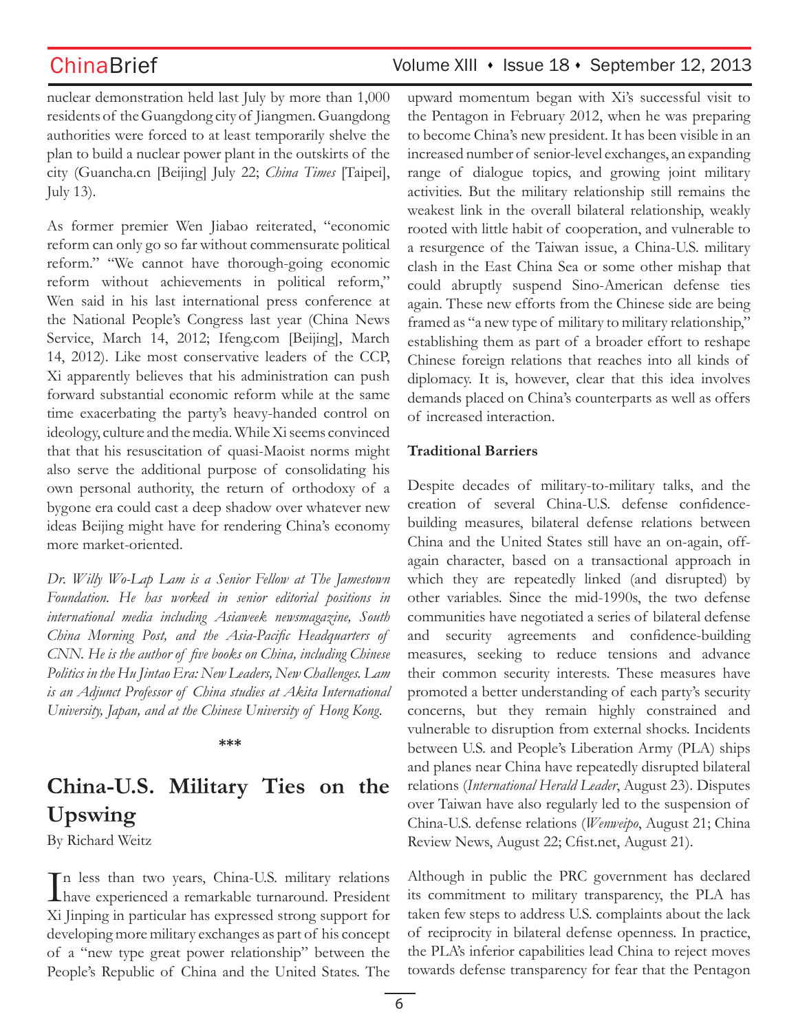nuclear demonstration held last July by more than 1,000 residents of the Guangdong city of Jiangmen. Guangdong authorities were forced to at least temporarily shelve the plan to build a nuclear power plant in the outskirts of the city (Guancha.cn [Beijing] July 22; *China Times* [Taipei], July 13).

As former premier Wen Jiabao reiterated, "economic reform can only go so far without commensurate political reform." "We cannot have thorough-going economic reform without achievements in political reform," Wen said in his last international press conference at the National People's Congress last year (China News Service, March 14, 2012; Ifeng.com [Beijing], March 14, 2012). Like most conservative leaders of the CCP, Xi apparently believes that his administration can push forward substantial economic reform while at the same time exacerbating the party's heavy-handed control on ideology, culture and the media. While Xi seems convinced that that his resuscitation of quasi-Maoist norms might also serve the additional purpose of consolidating his own personal authority, the return of orthodoxy of a bygone era could cast a deep shadow over whatever new ideas Beijing might have for rendering China's economy more market-oriented.

*Dr. Willy Wo-Lap Lam is a Senior Fellow at The Jamestown Foundation. He has worked in senior editorial positions in international media including Asiaweek newsmagazine, South China Morning Post, and the Asia-Pacific Headquarters of CNN. He is the author of five books on China, including Chinese Politics in the Hu Jintao Era: New Leaders, New Challenges. Lam is an Adjunct Professor of China studies at Akita International University, Japan, and at the Chinese University of Hong Kong.*

**\*\*\***

# **China-U.S. Military Ties on the Upswing**

By Richard Weitz

In less than two years, China-U.S. military relations<br>have experienced a remarkable turnaround. President have experienced a remarkable turnaround. President Xi Jinping in particular has expressed strong support for developing more military exchanges as part of his concept of a "new type great power relationship" between the People's Republic of China and the United States. The

upward momentum began with Xi's successful visit to the Pentagon in February 2012, when he was preparing to become China's new president. It has been visible in an increased number of senior-level exchanges, an expanding range of dialogue topics, and growing joint military activities. But the military relationship still remains the weakest link in the overall bilateral relationship, weakly rooted with little habit of cooperation, and vulnerable to a resurgence of the Taiwan issue, a China-U.S. military clash in the East China Sea or some other mishap that could abruptly suspend Sino-American defense ties again. These new efforts from the Chinese side are being framed as "a new type of military to military relationship," establishing them as part of a broader effort to reshape Chinese foreign relations that reaches into all kinds of diplomacy. It is, however, clear that this idea involves demands placed on China's counterparts as well as offers of increased interaction.

### **Traditional Barriers**

Despite decades of military-to-military talks, and the creation of several China-U.S. defense confidencebuilding measures, bilateral defense relations between China and the United States still have an on-again, offagain character, based on a transactional approach in which they are repeatedly linked (and disrupted) by other variables. Since the mid-1990s, the two defense communities have negotiated a series of bilateral defense and security agreements and confidence-building measures, seeking to reduce tensions and advance their common security interests. These measures have promoted a better understanding of each party's security concerns, but they remain highly constrained and vulnerable to disruption from external shocks. Incidents between U.S. and People's Liberation Army (PLA) ships and planes near China have repeatedly disrupted bilateral relations (*International Herald Leader*, August 23). Disputes over Taiwan have also regularly led to the suspension of China-U.S. defense relations (*Wenweipo*, August 21; China Review News, August 22; Cfist.net, August 21).

Although in public the PRC government has declared its commitment to military transparency, the PLA has taken few steps to address U.S. complaints about the lack of reciprocity in bilateral defense openness. In practice, the PLA's inferior capabilities lead China to reject moves towards defense transparency for fear that the Pentagon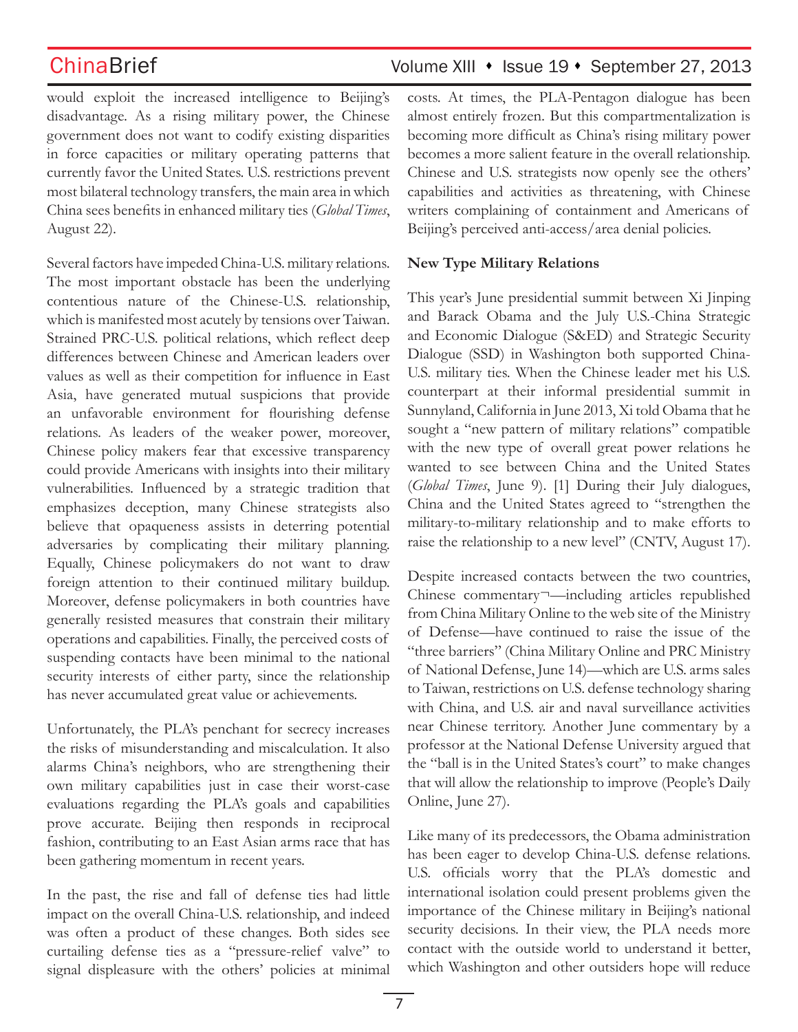would exploit the increased intelligence to Beijing's disadvantage. As a rising military power, the Chinese government does not want to codify existing disparities in force capacities or military operating patterns that currently favor the United States. U.S. restrictions prevent most bilateral technology transfers, the main area in which China sees benefits in enhanced military ties (*Global Times*, August 22).

Several factors have impeded China-U.S. military relations. The most important obstacle has been the underlying contentious nature of the Chinese-U.S. relationship, which is manifested most acutely by tensions over Taiwan. Strained PRC-U.S. political relations, which reflect deep differences between Chinese and American leaders over values as well as their competition for influence in East Asia, have generated mutual suspicions that provide an unfavorable environment for flourishing defense relations. As leaders of the weaker power, moreover, Chinese policy makers fear that excessive transparency could provide Americans with insights into their military vulnerabilities. Influenced by a strategic tradition that emphasizes deception, many Chinese strategists also believe that opaqueness assists in deterring potential adversaries by complicating their military planning. Equally, Chinese policymakers do not want to draw foreign attention to their continued military buildup. Moreover, defense policymakers in both countries have generally resisted measures that constrain their military operations and capabilities. Finally, the perceived costs of suspending contacts have been minimal to the national security interests of either party, since the relationship has never accumulated great value or achievements.

Unfortunately, the PLA's penchant for secrecy increases the risks of misunderstanding and miscalculation. It also alarms China's neighbors, who are strengthening their own military capabilities just in case their worst-case evaluations regarding the PLA's goals and capabilities prove accurate. Beijing then responds in reciprocal fashion, contributing to an East Asian arms race that has been gathering momentum in recent years.

In the past, the rise and fall of defense ties had little impact on the overall China-U.S. relationship, and indeed was often a product of these changes. Both sides see curtailing defense ties as a "pressure-relief valve" to signal displeasure with the others' policies at minimal costs. At times, the PLA-Pentagon dialogue has been almost entirely frozen. But this compartmentalization is becoming more difficult as China's rising military power becomes a more salient feature in the overall relationship. Chinese and U.S. strategists now openly see the others' capabilities and activities as threatening, with Chinese writers complaining of containment and Americans of Beijing's perceived anti-access/area denial policies.

### **New Type Military Relations**

This year's June presidential summit between Xi Jinping and Barack Obama and the July U.S.-China Strategic and Economic Dialogue (S&ED) and Strategic Security Dialogue (SSD) in Washington both supported China-U.S. military ties. When the Chinese leader met his U.S. counterpart at their informal presidential summit in Sunnyland, California in June 2013, Xi told Obama that he sought a "new pattern of military relations" compatible with the new type of overall great power relations he wanted to see between China and the United States (*Global Times*, June 9). [1] During their July dialogues, China and the United States agreed to "strengthen the military-to-military relationship and to make efforts to raise the relationship to a new level" (CNTV, August 17).

Despite increased contacts between the two countries, Chinese commentary¬—including articles republished from China Military Online to the web site of the Ministry of Defense—have continued to raise the issue of the "three barriers" (China Military Online and PRC Ministry of National Defense, June 14)—which are U.S. arms sales to Taiwan, restrictions on U.S. defense technology sharing with China, and U.S. air and naval surveillance activities near Chinese territory. Another June commentary by a professor at the National Defense University argued that the "ball is in the United States's court" to make changes that will allow the relationship to improve (People's Daily Online, June 27).

Like many of its predecessors, the Obama administration has been eager to develop China-U.S. defense relations. U.S. officials worry that the PLA's domestic and international isolation could present problems given the importance of the Chinese military in Beijing's national security decisions. In their view, the PLA needs more contact with the outside world to understand it better, which Washington and other outsiders hope will reduce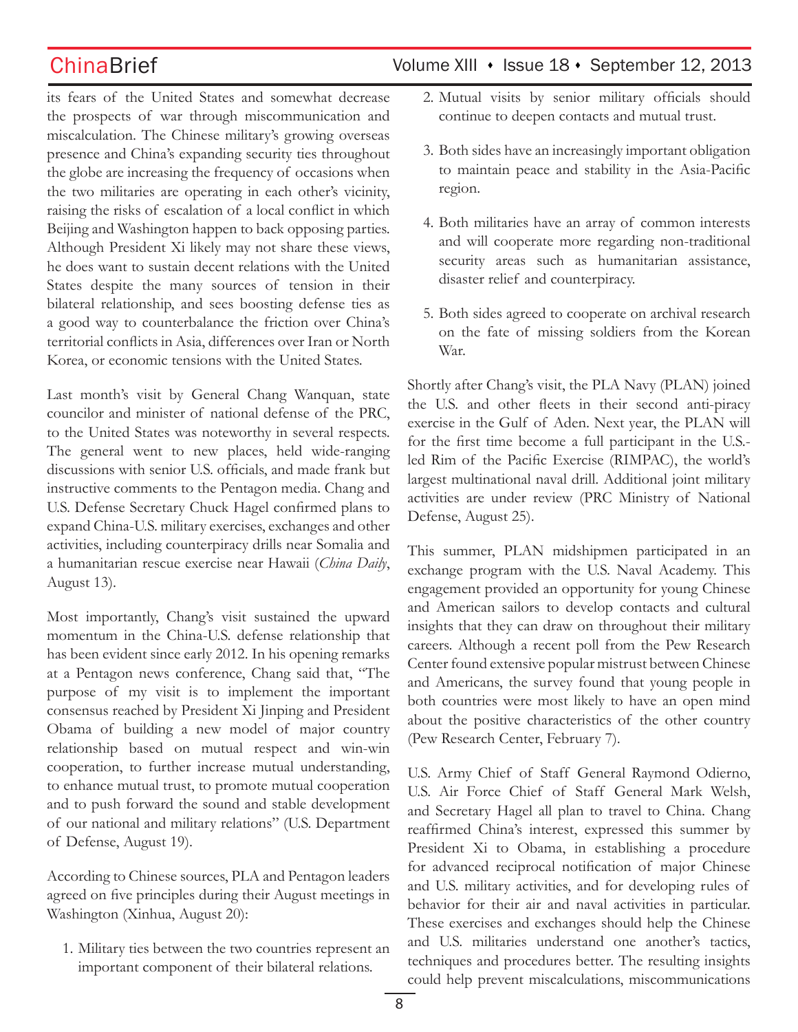its fears of the United States and somewhat decrease the prospects of war through miscommunication and miscalculation. The Chinese military's growing overseas presence and China's expanding security ties throughout the globe are increasing the frequency of occasions when the two militaries are operating in each other's vicinity, raising the risks of escalation of a local conflict in which Beijing and Washington happen to back opposing parties. Although President Xi likely may not share these views, he does want to sustain decent relations with the United States despite the many sources of tension in their bilateral relationship, and sees boosting defense ties as a good way to counterbalance the friction over China's territorial conflicts in Asia, differences over Iran or North Korea, or economic tensions with the United States.

Last month's visit by General Chang Wanquan, state councilor and minister of national defense of the PRC, to the United States was noteworthy in several respects. The general went to new places, held wide-ranging discussions with senior U.S. officials, and made frank but instructive comments to the Pentagon media. Chang and U.S. Defense Secretary Chuck Hagel confirmed plans to expand China-U.S. military exercises, exchanges and other activities, including counterpiracy drills near Somalia and a humanitarian rescue exercise near Hawaii (*China Daily*, August 13).

Most importantly, Chang's visit sustained the upward momentum in the China-U.S. defense relationship that has been evident since early 2012. In his opening remarks at a Pentagon news conference, Chang said that, "The purpose of my visit is to implement the important consensus reached by President Xi Jinping and President Obama of building a new model of major country relationship based on mutual respect and win-win cooperation, to further increase mutual understanding, to enhance mutual trust, to promote mutual cooperation and to push forward the sound and stable development of our national and military relations" (U.S. Department of Defense, August 19).

According to Chinese sources, PLA and Pentagon leaders agreed on five principles during their August meetings in Washington (Xinhua, August 20):

1. Military ties between the two countries represent an important component of their bilateral relations.

# ChinaBrief Volume XIII • Issue 18 • September 12, 2013

- 2. Mutual visits by senior military officials should continue to deepen contacts and mutual trust.
- 3. Both sides have an increasingly important obligation to maintain peace and stability in the Asia-Pacific region.
- 4. Both militaries have an array of common interests and will cooperate more regarding non-traditional security areas such as humanitarian assistance, disaster relief and counterpiracy.
- 5. Both sides agreed to cooperate on archival research on the fate of missing soldiers from the Korean War.

Shortly after Chang's visit, the PLA Navy (PLAN) joined the U.S. and other fleets in their second anti-piracy exercise in the Gulf of Aden. Next year, the PLAN will for the first time become a full participant in the U.S. led Rim of the Pacific Exercise (RIMPAC), the world's largest multinational naval drill. Additional joint military activities are under review (PRC Ministry of National Defense, August 25).

This summer, PLAN midshipmen participated in an exchange program with the U.S. Naval Academy. This engagement provided an opportunity for young Chinese and American sailors to develop contacts and cultural insights that they can draw on throughout their military careers. Although a recent poll from the Pew Research Center found extensive popular mistrust between Chinese and Americans, the survey found that young people in both countries were most likely to have an open mind about the positive characteristics of the other country (Pew Research Center, February 7).

U.S. Army Chief of Staff General Raymond Odierno, U.S. Air Force Chief of Staff General Mark Welsh, and Secretary Hagel all plan to travel to China. Chang reaffirmed China's interest, expressed this summer by President Xi to Obama, in establishing a procedure for advanced reciprocal notification of major Chinese and U.S. military activities, and for developing rules of behavior for their air and naval activities in particular. These exercises and exchanges should help the Chinese and U.S. militaries understand one another's tactics, techniques and procedures better. The resulting insights could help prevent miscalculations, miscommunications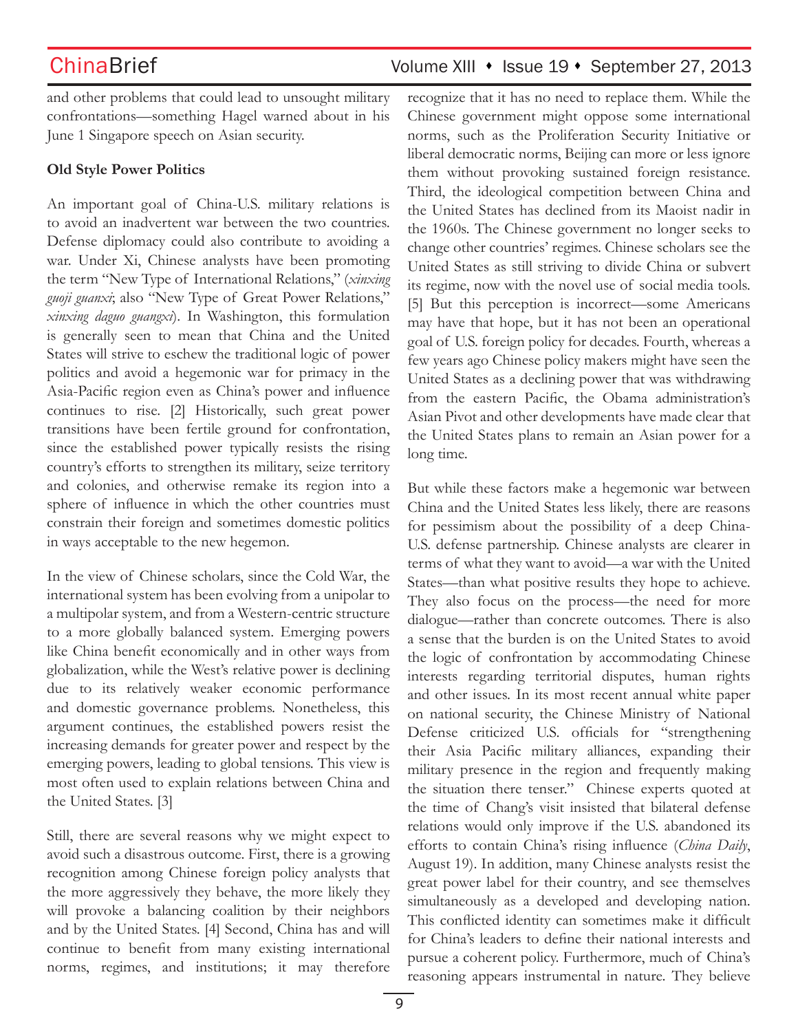and other problems that could lead to unsought military confrontations—something Hagel warned about in his June 1 Singapore speech on Asian security.

### **Old Style Power Politics**

An important goal of China-U.S. military relations is to avoid an inadvertent war between the two countries. Defense diplomacy could also contribute to avoiding a war. Under Xi, Chinese analysts have been promoting the term "New Type of International Relations," (*xinxing guoji guanxi*; also "New Type of Great Power Relations," *xinxing daguo guangxi*). In Washington, this formulation is generally seen to mean that China and the United States will strive to eschew the traditional logic of power politics and avoid a hegemonic war for primacy in the Asia-Pacific region even as China's power and influence continues to rise. [2] Historically, such great power transitions have been fertile ground for confrontation, since the established power typically resists the rising country's efforts to strengthen its military, seize territory and colonies, and otherwise remake its region into a sphere of influence in which the other countries must constrain their foreign and sometimes domestic politics in ways acceptable to the new hegemon.

In the view of Chinese scholars, since the Cold War, the international system has been evolving from a unipolar to a multipolar system, and from a Western-centric structure to a more globally balanced system. Emerging powers like China benefit economically and in other ways from globalization, while the West's relative power is declining due to its relatively weaker economic performance and domestic governance problems. Nonetheless, this argument continues, the established powers resist the increasing demands for greater power and respect by the emerging powers, leading to global tensions. This view is most often used to explain relations between China and the United States. [3]

Still, there are several reasons why we might expect to avoid such a disastrous outcome. First, there is a growing recognition among Chinese foreign policy analysts that the more aggressively they behave, the more likely they will provoke a balancing coalition by their neighbors and by the United States. [4] Second, China has and will continue to benefit from many existing international norms, regimes, and institutions; it may therefore recognize that it has no need to replace them. While the Chinese government might oppose some international norms, such as the Proliferation Security Initiative or liberal democratic norms, Beijing can more or less ignore them without provoking sustained foreign resistance. Third, the ideological competition between China and the United States has declined from its Maoist nadir in the 1960s. The Chinese government no longer seeks to change other countries' regimes. Chinese scholars see the United States as still striving to divide China or subvert its regime, now with the novel use of social media tools. [5] But this perception is incorrect—some Americans may have that hope, but it has not been an operational goal of U.S. foreign policy for decades. Fourth, whereas a few years ago Chinese policy makers might have seen the United States as a declining power that was withdrawing from the eastern Pacific, the Obama administration's Asian Pivot and other developments have made clear that the United States plans to remain an Asian power for a long time.

But while these factors make a hegemonic war between China and the United States less likely, there are reasons for pessimism about the possibility of a deep China-U.S. defense partnership. Chinese analysts are clearer in terms of what they want to avoid—a war with the United States—than what positive results they hope to achieve. They also focus on the process—the need for more dialogue—rather than concrete outcomes. There is also a sense that the burden is on the United States to avoid the logic of confrontation by accommodating Chinese interests regarding territorial disputes, human rights and other issues. In its most recent annual white paper on national security, the Chinese Ministry of National Defense criticized U.S. officials for "strengthening their Asia Pacific military alliances, expanding their military presence in the region and frequently making the situation there tenser." Chinese experts quoted at the time of Chang's visit insisted that bilateral defense relations would only improve if the U.S. abandoned its efforts to contain China's rising influence (*China Daily*, August 19). In addition, many Chinese analysts resist the great power label for their country, and see themselves simultaneously as a developed and developing nation. This conflicted identity can sometimes make it difficult for China's leaders to define their national interests and pursue a coherent policy. Furthermore, much of China's reasoning appears instrumental in nature. They believe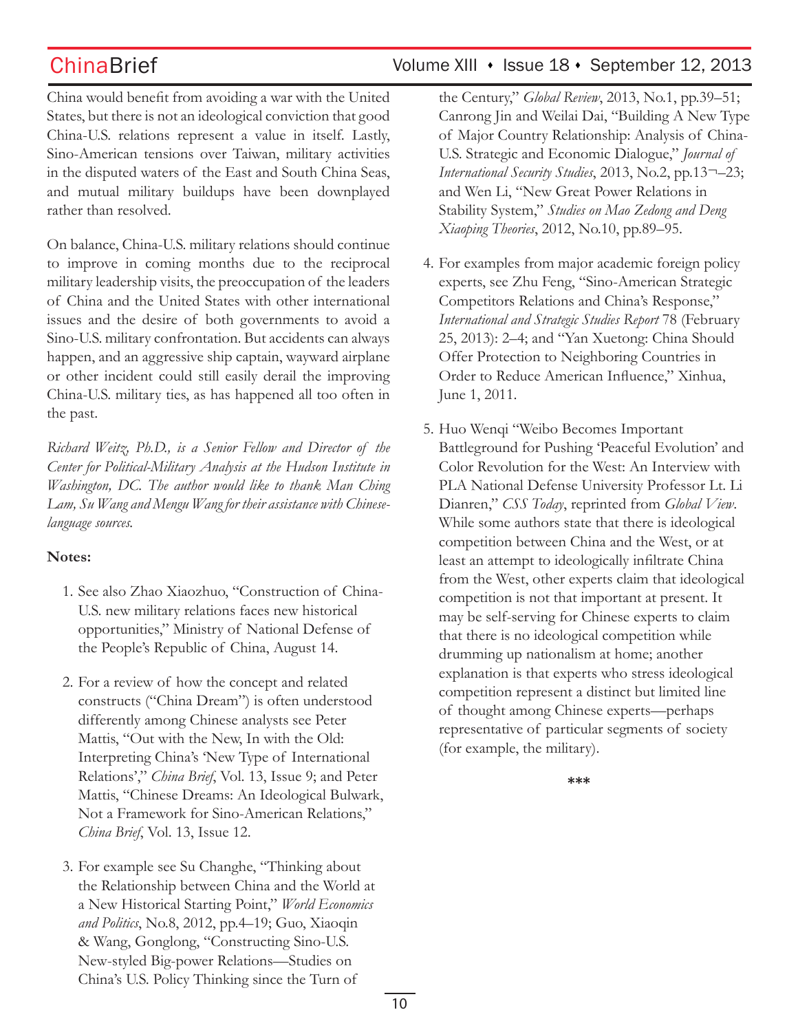China would benefit from avoiding a war with the United States, but there is not an ideological conviction that good China-U.S. relations represent a value in itself. Lastly, Sino-American tensions over Taiwan, military activities in the disputed waters of the East and South China Seas, and mutual military buildups have been downplayed rather than resolved.

On balance, China-U.S. military relations should continue to improve in coming months due to the reciprocal military leadership visits, the preoccupation of the leaders of China and the United States with other international issues and the desire of both governments to avoid a Sino-U.S. military confrontation. But accidents can always happen, and an aggressive ship captain, wayward airplane or other incident could still easily derail the improving China-U.S. military ties, as has happened all too often in the past.

*Richard Weitz, Ph.D., is a Senior Fellow and Director of the Center for Political-Military Analysis at the Hudson Institute in Washington, DC. The author would like to thank Man Ching Lam, Su Wang and Mengu Wang for their assistance with Chineselanguage sources.*

### **Notes:**

- 1. See also Zhao Xiaozhuo, "Construction of China-U.S. new military relations faces new historical opportunities," Ministry of National Defense of the People's Republic of China, August 14.
- 2. For a review of how the concept and related constructs ("China Dream") is often understood differently among Chinese analysts see Peter Mattis, "Out with the New, In with the Old: Interpreting China's 'New Type of International Relations'," *China Brief*, Vol. 13, Issue 9; and Peter Mattis, "Chinese Dreams: An Ideological Bulwark, Not a Framework for Sino-American Relations," *China Brief*, Vol. 13, Issue 12.
- 3. For example see Su Changhe, "Thinking about the Relationship between China and the World at a New Historical Starting Point," *World Economics and Politics*, No.8, 2012, pp.4–19; Guo, Xiaoqin & Wang, Gonglong, "Constructing Sino-U.S. New-styled Big-power Relations—Studies on China's U.S. Policy Thinking since the Turn of

the Century," *Global Review*, 2013, No.1, pp.39–51; Canrong Jin and Weilai Dai, "Building A New Type of Major Country Relationship: Analysis of China-U.S. Strategic and Economic Dialogue," *Journal of International Security Studies*, 2013, No.2, pp.13¬–23; and Wen Li, "New Great Power Relations in Stability System," *Studies on Mao Zedong and Deng Xiaoping Theories*, 2012, No.10, pp.89–95.

- 4. For examples from major academic foreign policy experts, see Zhu Feng, "Sino-American Strategic Competitors Relations and China's Response," *International and Strategic Studies Report* 78 (February 25, 2013): 2–4; and "Yan Xuetong: China Should Offer Protection to Neighboring Countries in Order to Reduce American Influence," Xinhua, June 1, 2011.
- 5. Huo Wenqi "Weibo Becomes Important Battleground for Pushing 'Peaceful Evolution' and Color Revolution for the West: An Interview with PLA National Defense University Professor Lt. Li Dianren," *CSS Today*, reprinted from *Global View*. While some authors state that there is ideological competition between China and the West, or at least an attempt to ideologically infiltrate China from the West, other experts claim that ideological competition is not that important at present. It may be self-serving for Chinese experts to claim that there is no ideological competition while drumming up nationalism at home; another explanation is that experts who stress ideological competition represent a distinct but limited line of thought among Chinese experts—perhaps representative of particular segments of society (for example, the military).

**\*\*\***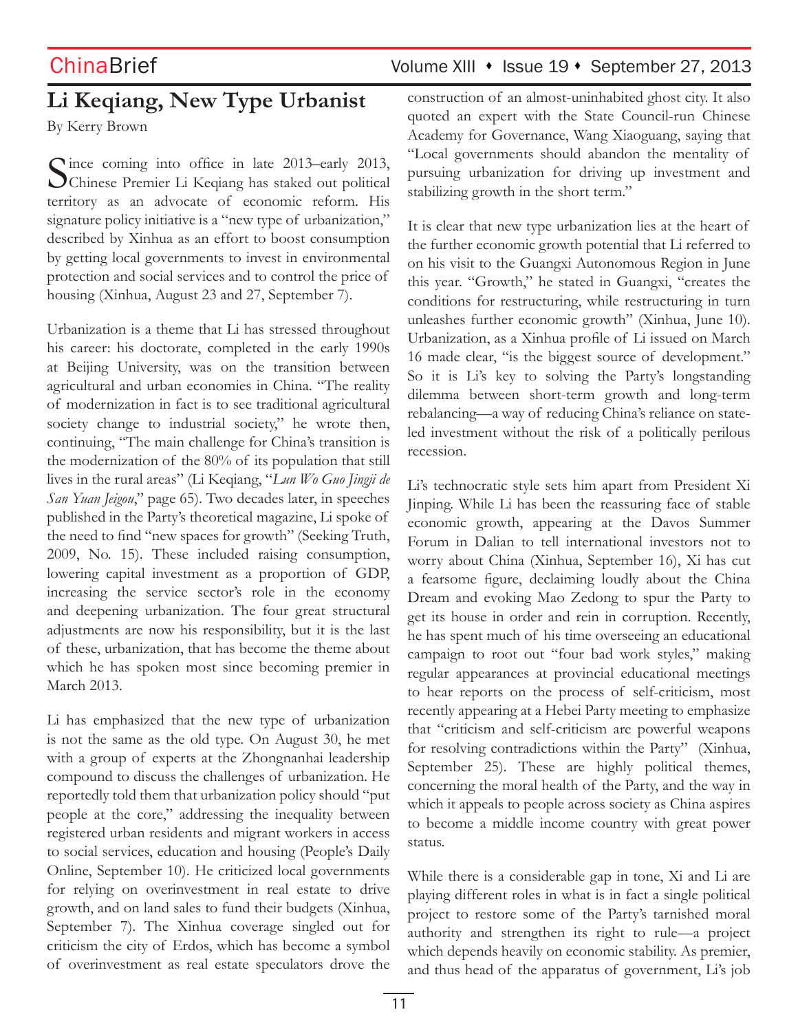# **Li Keqiang, New Type Urbanist**

By Kerry Brown

Since coming into office in late 2013–early 2013, Chinese Premier Li Keqiang has staked out political territory as an advocate of economic reform. His signature policy initiative is a "new type of urbanization," described by Xinhua as an effort to boost consumption by getting local governments to invest in environmental protection and social services and to control the price of housing (Xinhua, August 23 and 27, September 7).

Urbanization is a theme that Li has stressed throughout his career: his doctorate, completed in the early 1990s at Beijing University, was on the transition between agricultural and urban economies in China. "The reality of modernization in fact is to see traditional agricultural society change to industrial society," he wrote then, continuing, "The main challenge for China's transition is the modernization of the 80% of its population that still lives in the rural areas" (Li Keqiang, "*Lun Wo Guo Jingji de San Yuan Jeigou*," page 65). Two decades later, in speeches published in the Party's theoretical magazine, Li spoke of the need to find "new spaces for growth" (Seeking Truth, 2009, No. 15). These included raising consumption, lowering capital investment as a proportion of GDP, increasing the service sector's role in the economy and deepening urbanization. The four great structural adjustments are now his responsibility, but it is the last of these, urbanization, that has become the theme about which he has spoken most since becoming premier in March 2013.

Li has emphasized that the new type of urbanization is not the same as the old type. On August 30, he met with a group of experts at the Zhongnanhai leadership compound to discuss the challenges of urbanization. He reportedly told them that urbanization policy should "put people at the core," addressing the inequality between registered urban residents and migrant workers in access to social services, education and housing (People's Daily Online, September 10). He criticized local governments for relying on overinvestment in real estate to drive growth, and on land sales to fund their budgets (Xinhua, September 7). The Xinhua coverage singled out for criticism the city of Erdos, which has become a symbol of overinvestment as real estate speculators drove the

# ChinaBrief Volume XIII • Issue 19 • September 27, 2013

construction of an almost-uninhabited ghost city. It also quoted an expert with the State Council-run Chinese Academy for Governance, Wang Xiaoguang, saying that "Local governments should abandon the mentality of pursuing urbanization for driving up investment and stabilizing growth in the short term."

It is clear that new type urbanization lies at the heart of the further economic growth potential that Li referred to on his visit to the Guangxi Autonomous Region in June this year. "Growth," he stated in Guangxi, "creates the conditions for restructuring, while restructuring in turn unleashes further economic growth" (Xinhua, June 10). Urbanization, as a Xinhua profile of Li issued on March 16 made clear, "is the biggest source of development." So it is Li's key to solving the Party's longstanding dilemma between short-term growth and long-term rebalancing—a way of reducing China's reliance on stateled investment without the risk of a politically perilous recession.

Li's technocratic style sets him apart from President Xi Jinping. While Li has been the reassuring face of stable economic growth, appearing at the Davos Summer Forum in Dalian to tell international investors not to worry about China (Xinhua, September 16), Xi has cut a fearsome figure, declaiming loudly about the China Dream and evoking Mao Zedong to spur the Party to get its house in order and rein in corruption. Recently, he has spent much of his time overseeing an educational campaign to root out "four bad work styles," making regular appearances at provincial educational meetings to hear reports on the process of self-criticism, most recently appearing at a Hebei Party meeting to emphasize that "criticism and self-criticism are powerful weapons for resolving contradictions within the Party" (Xinhua, September 25). These are highly political themes, concerning the moral health of the Party, and the way in which it appeals to people across society as China aspires to become a middle income country with great power status.

While there is a considerable gap in tone, Xi and Li are playing different roles in what is in fact a single political project to restore some of the Party's tarnished moral authority and strengthen its right to rule—a project which depends heavily on economic stability. As premier, and thus head of the apparatus of government, Li's job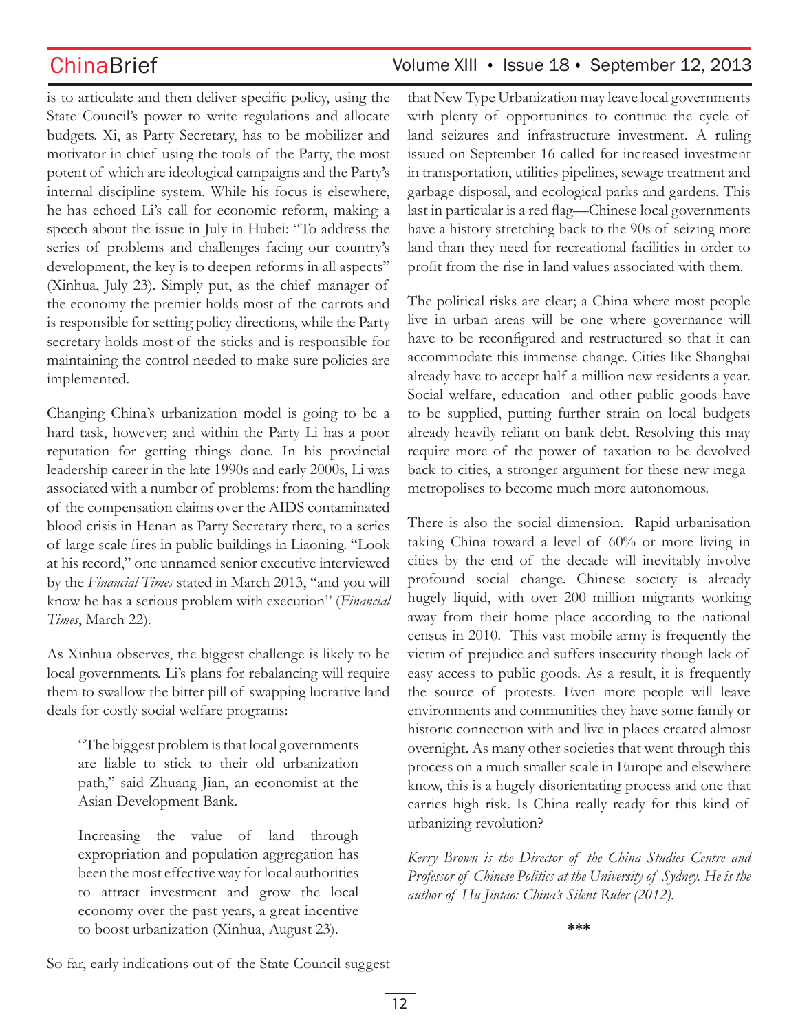is to articulate and then deliver specific policy, using the State Council's power to write regulations and allocate budgets. Xi, as Party Secretary, has to be mobilizer and motivator in chief using the tools of the Party, the most potent of which are ideological campaigns and the Party's internal discipline system. While his focus is elsewhere, he has echoed Li's call for economic reform, making a speech about the issue in July in Hubei: "To address the series of problems and challenges facing our country's development, the key is to deepen reforms in all aspects" (Xinhua, July 23). Simply put, as the chief manager of the economy the premier holds most of the carrots and is responsible for setting policy directions, while the Party secretary holds most of the sticks and is responsible for maintaining the control needed to make sure policies are implemented.

Changing China's urbanization model is going to be a hard task, however; and within the Party Li has a poor reputation for getting things done. In his provincial leadership career in the late 1990s and early 2000s, Li was associated with a number of problems: from the handling of the compensation claims over the AIDS contaminated blood crisis in Henan as Party Secretary there, to a series of large scale fires in public buildings in Liaoning. "Look at his record," one unnamed senior executive interviewed by the *Financial Times* stated in March 2013, "and you will know he has a serious problem with execution" (*Financial Times*, March 22).

As Xinhua observes, the biggest challenge is likely to be local governments. Li's plans for rebalancing will require them to swallow the bitter pill of swapping lucrative land deals for costly social welfare programs:

"The biggest problem is that local governments are liable to stick to their old urbanization path," said Zhuang Jian, an economist at the Asian Development Bank.

Increasing the value of land through expropriation and population aggregation has been the most effective way for local authorities to attract investment and grow the local economy over the past years, a great incentive to boost urbanization (Xinhua, August 23).

that New Type Urbanization may leave local governments with plenty of opportunities to continue the cycle of land seizures and infrastructure investment. A ruling issued on September 16 called for increased investment in transportation, utilities pipelines, sewage treatment and garbage disposal, and ecological parks and gardens. This last in particular is a red flag—Chinese local governments have a history stretching back to the 90s of seizing more land than they need for recreational facilities in order to profit from the rise in land values associated with them.

The political risks are clear; a China where most people live in urban areas will be one where governance will have to be reconfigured and restructured so that it can accommodate this immense change. Cities like Shanghai already have to accept half a million new residents a year. Social welfare, education and other public goods have to be supplied, putting further strain on local budgets already heavily reliant on bank debt. Resolving this may require more of the power of taxation to be devolved back to cities, a stronger argument for these new megametropolises to become much more autonomous.

There is also the social dimension. Rapid urbanisation taking China toward a level of 60% or more living in cities by the end of the decade will inevitably involve profound social change. Chinese society is already hugely liquid, with over 200 million migrants working away from their home place according to the national census in 2010. This vast mobile army is frequently the victim of prejudice and suffers insecurity though lack of easy access to public goods. As a result, it is frequently the source of protests. Even more people will leave environments and communities they have some family or historic connection with and live in places created almost overnight. As many other societies that went through this process on a much smaller scale in Europe and elsewhere know, this is a hugely disorientating process and one that carries high risk. Is China really ready for this kind of urbanizing revolution?

*Kerry Brown is the Director of the China Studies Centre and Professor of Chinese Politics at the University of Sydney. He is the author of Hu Jintao: China's Silent Ruler (2012).*

**\*\*\***

So far, early indications out of the State Council suggest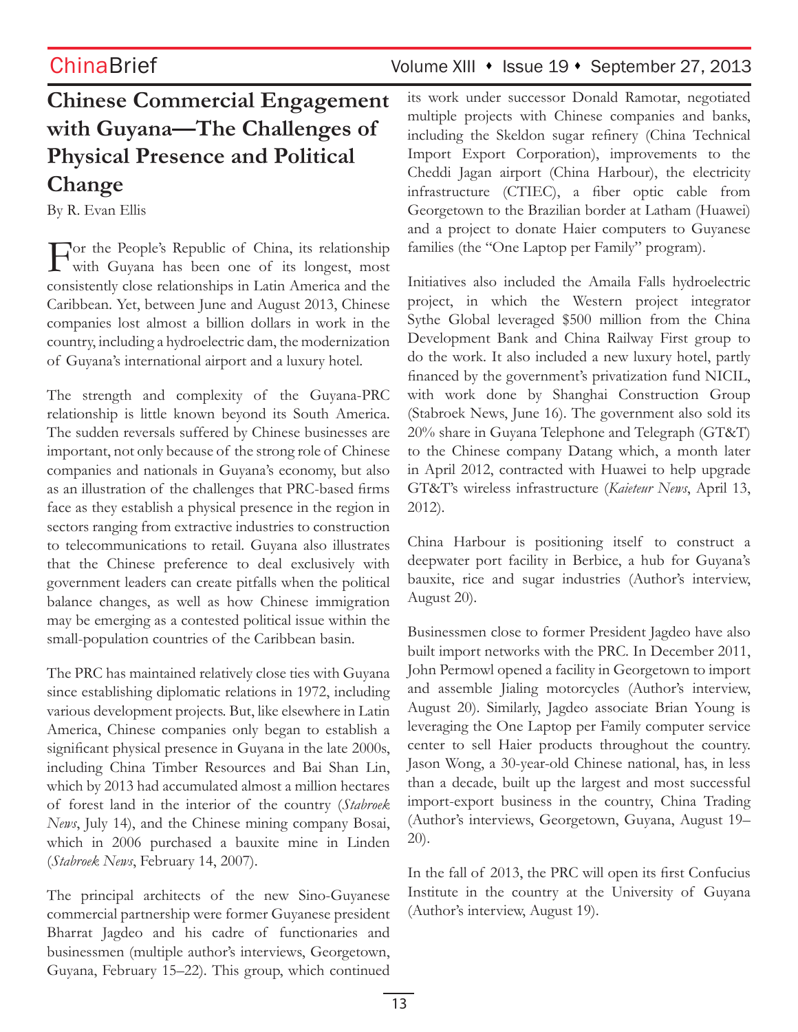# **Chinese Commercial Engagement with Guyana—The Challenges of Physical Presence and Political Change**

By R. Evan Ellis

For the People's Republic of China, its relationship with Guyana has been one of its longest, most consistently close relationships in Latin America and the Caribbean. Yet, between June and August 2013, Chinese companies lost almost a billion dollars in work in the country, including a hydroelectric dam, the modernization of Guyana's international airport and a luxury hotel.

The strength and complexity of the Guyana-PRC relationship is little known beyond its South America. The sudden reversals suffered by Chinese businesses are important, not only because of the strong role of Chinese companies and nationals in Guyana's economy, but also as an illustration of the challenges that PRC-based firms face as they establish a physical presence in the region in sectors ranging from extractive industries to construction to telecommunications to retail. Guyana also illustrates that the Chinese preference to deal exclusively with government leaders can create pitfalls when the political balance changes, as well as how Chinese immigration may be emerging as a contested political issue within the small-population countries of the Caribbean basin.

The PRC has maintained relatively close ties with Guyana since establishing diplomatic relations in 1972, including various development projects. But, like elsewhere in Latin America, Chinese companies only began to establish a significant physical presence in Guyana in the late 2000s, including China Timber Resources and Bai Shan Lin, which by 2013 had accumulated almost a million hectares of forest land in the interior of the country (*Stabroek News*, July 14), and the Chinese mining company Bosai, which in 2006 purchased a bauxite mine in Linden (*Stabroek News*, February 14, 2007).

The principal architects of the new Sino-Guyanese commercial partnership were former Guyanese president Bharrat Jagdeo and his cadre of functionaries and businessmen (multiple author's interviews, Georgetown, Guyana, February 15–22). This group, which continued its work under successor Donald Ramotar, negotiated multiple projects with Chinese companies and banks, including the Skeldon sugar refinery (China Technical Import Export Corporation), improvements to the Cheddi Jagan airport (China Harbour), the electricity infrastructure (CTIEC), a fiber optic cable from Georgetown to the Brazilian border at Latham (Huawei) and a project to donate Haier computers to Guyanese families (the "One Laptop per Family" program).

Initiatives also included the Amaila Falls hydroelectric project, in which the Western project integrator Sythe Global leveraged \$500 million from the China Development Bank and China Railway First group to do the work. It also included a new luxury hotel, partly financed by the government's privatization fund NICIL, with work done by Shanghai Construction Group (Stabroek News, June 16). The government also sold its 20% share in Guyana Telephone and Telegraph (GT&T) to the Chinese company Datang which, a month later in April 2012, contracted with Huawei to help upgrade GT&T's wireless infrastructure (*Kaieteur News*, April 13, 2012).

China Harbour is positioning itself to construct a deepwater port facility in Berbice, a hub for Guyana's bauxite, rice and sugar industries (Author's interview, August 20).

Businessmen close to former President Jagdeo have also built import networks with the PRC. In December 2011, John Permowl opened a facility in Georgetown to import and assemble Jialing motorcycles (Author's interview, August 20). Similarly, Jagdeo associate Brian Young is leveraging the One Laptop per Family computer service center to sell Haier products throughout the country. Jason Wong, a 30-year-old Chinese national, has, in less than a decade, built up the largest and most successful import-export business in the country, China Trading (Author's interviews, Georgetown, Guyana, August 19– 20).

In the fall of 2013, the PRC will open its first Confucius Institute in the country at the University of Guyana (Author's interview, August 19).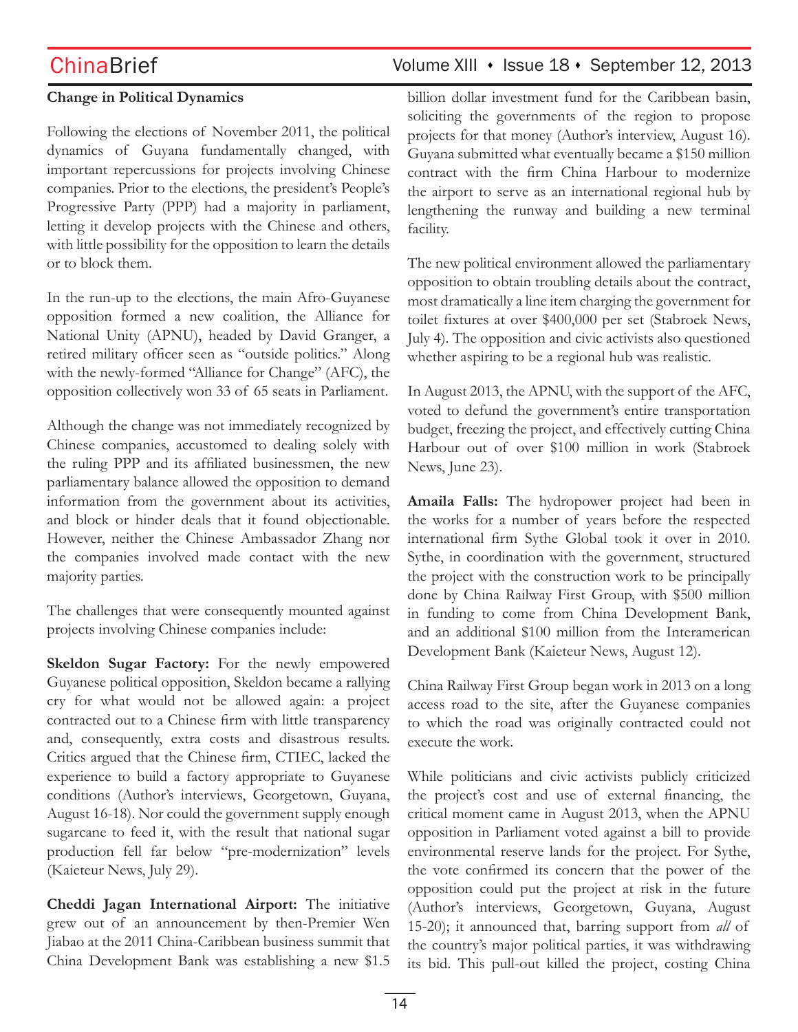### **Change in Political Dynamics**

Following the elections of November 2011, the political dynamics of Guyana fundamentally changed, with important repercussions for projects involving Chinese companies. Prior to the elections, the president's People's Progressive Party (PPP) had a majority in parliament, letting it develop projects with the Chinese and others, with little possibility for the opposition to learn the details or to block them.

In the run-up to the elections, the main Afro-Guyanese opposition formed a new coalition, the Alliance for National Unity (APNU), headed by David Granger, a retired military officer seen as "outside politics." Along with the newly-formed "Alliance for Change" (AFC), the opposition collectively won 33 of 65 seats in Parliament.

Although the change was not immediately recognized by Chinese companies, accustomed to dealing solely with the ruling PPP and its affiliated businessmen, the new parliamentary balance allowed the opposition to demand information from the government about its activities, and block or hinder deals that it found objectionable. However, neither the Chinese Ambassador Zhang nor the companies involved made contact with the new majority parties.

The challenges that were consequently mounted against projects involving Chinese companies include:

**Skeldon Sugar Factory:** For the newly empowered Guyanese political opposition, Skeldon became a rallying cry for what would not be allowed again: a project contracted out to a Chinese firm with little transparency and, consequently, extra costs and disastrous results. Critics argued that the Chinese firm, CTIEC, lacked the experience to build a factory appropriate to Guyanese conditions (Author's interviews, Georgetown, Guyana, August 16-18). Nor could the government supply enough sugarcane to feed it, with the result that national sugar production fell far below "pre-modernization" levels (Kaieteur News, July 29).

**Cheddi Jagan International Airport:** The initiative grew out of an announcement by then-Premier Wen Jiabao at the 2011 China-Caribbean business summit that China Development Bank was establishing a new \$1.5

# ChinaBrief Volume XIII • Issue 18 • September 12, 2013

billion dollar investment fund for the Caribbean basin, soliciting the governments of the region to propose projects for that money (Author's interview, August 16). Guyana submitted what eventually became a \$150 million contract with the firm China Harbour to modernize the airport to serve as an international regional hub by lengthening the runway and building a new terminal facility.

The new political environment allowed the parliamentary opposition to obtain troubling details about the contract, most dramatically a line item charging the government for toilet fixtures at over \$400,000 per set (Stabroek News, July 4). The opposition and civic activists also questioned whether aspiring to be a regional hub was realistic.

In August 2013, the APNU, with the support of the AFC, voted to defund the government's entire transportation budget, freezing the project, and effectively cutting China Harbour out of over \$100 million in work (Stabroek News, June 23).

**Amaila Falls:** The hydropower project had been in the works for a number of years before the respected international firm Sythe Global took it over in 2010. Sythe, in coordination with the government, structured the project with the construction work to be principally done by China Railway First Group, with \$500 million in funding to come from China Development Bank, and an additional \$100 million from the Interamerican Development Bank (Kaieteur News, August 12).

China Railway First Group began work in 2013 on a long access road to the site, after the Guyanese companies to which the road was originally contracted could not execute the work.

While politicians and civic activists publicly criticized the project's cost and use of external financing, the critical moment came in August 2013, when the APNU opposition in Parliament voted against a bill to provide environmental reserve lands for the project. For Sythe, the vote confirmed its concern that the power of the opposition could put the project at risk in the future (Author's interviews, Georgetown, Guyana, August 15-20); it announced that, barring support from *all* of the country's major political parties, it was withdrawing its bid. This pull-out killed the project, costing China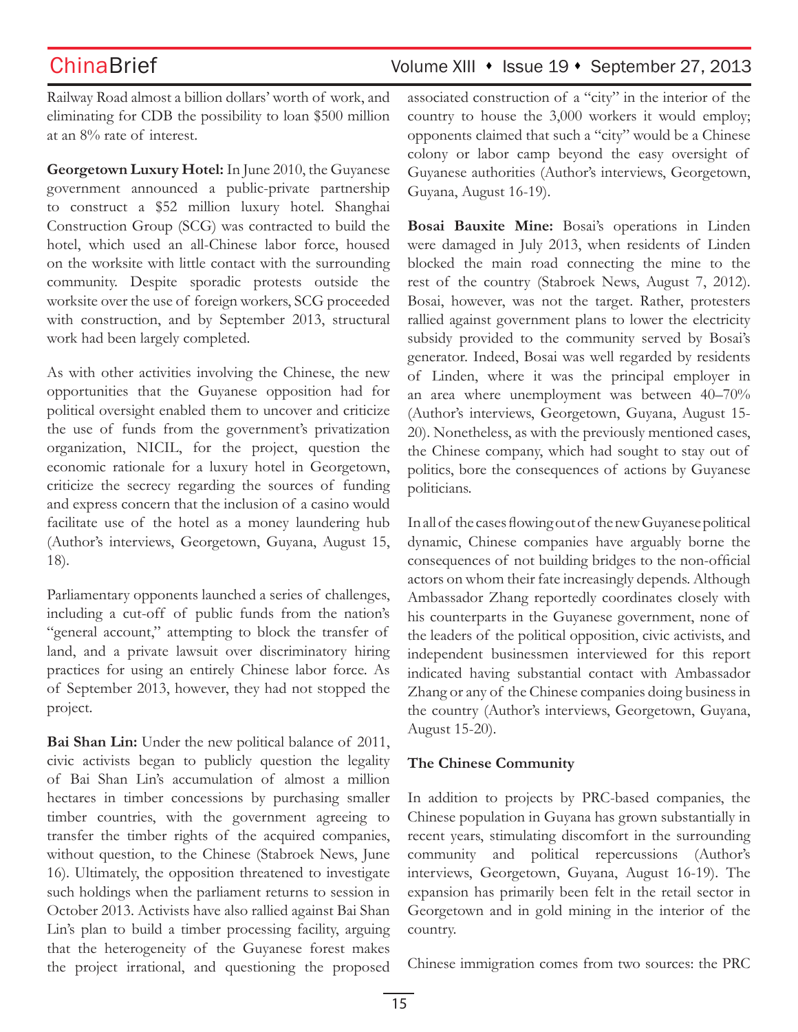Railway Road almost a billion dollars' worth of work, and eliminating for CDB the possibility to loan \$500 million at an 8% rate of interest.

**Georgetown Luxury Hotel:** In June 2010, the Guyanese government announced a public-private partnership to construct a \$52 million luxury hotel. Shanghai Construction Group (SCG) was contracted to build the hotel, which used an all-Chinese labor force, housed on the worksite with little contact with the surrounding community. Despite sporadic protests outside the worksite over the use of foreign workers, SCG proceeded with construction, and by September 2013, structural work had been largely completed.

As with other activities involving the Chinese, the new opportunities that the Guyanese opposition had for political oversight enabled them to uncover and criticize the use of funds from the government's privatization organization, NICIL, for the project, question the economic rationale for a luxury hotel in Georgetown, criticize the secrecy regarding the sources of funding and express concern that the inclusion of a casino would facilitate use of the hotel as a money laundering hub (Author's interviews, Georgetown, Guyana, August 15, 18).

Parliamentary opponents launched a series of challenges, including a cut-off of public funds from the nation's "general account," attempting to block the transfer of land, and a private lawsuit over discriminatory hiring practices for using an entirely Chinese labor force. As of September 2013, however, they had not stopped the project.

**Bai Shan Lin:** Under the new political balance of 2011, civic activists began to publicly question the legality of Bai Shan Lin's accumulation of almost a million hectares in timber concessions by purchasing smaller timber countries, with the government agreeing to transfer the timber rights of the acquired companies, without question, to the Chinese (Stabroek News, June 16). Ultimately, the opposition threatened to investigate such holdings when the parliament returns to session in October 2013. Activists have also rallied against Bai Shan Lin's plan to build a timber processing facility, arguing that the heterogeneity of the Guyanese forest makes the project irrational, and questioning the proposed

associated construction of a "city" in the interior of the country to house the 3,000 workers it would employ; opponents claimed that such a "city" would be a Chinese colony or labor camp beyond the easy oversight of Guyanese authorities (Author's interviews, Georgetown, Guyana, August 16-19).

**Bosai Bauxite Mine:** Bosai's operations in Linden were damaged in July 2013, when residents of Linden blocked the main road connecting the mine to the rest of the country (Stabroek News, August 7, 2012). Bosai, however, was not the target. Rather, protesters rallied against government plans to lower the electricity subsidy provided to the community served by Bosai's generator. Indeed, Bosai was well regarded by residents of Linden, where it was the principal employer in an area where unemployment was between 40–70% (Author's interviews, Georgetown, Guyana, August 15- 20). Nonetheless, as with the previously mentioned cases, the Chinese company, which had sought to stay out of politics, bore the consequences of actions by Guyanese politicians.

In all of the cases flowing out of the new Guyanese political dynamic, Chinese companies have arguably borne the consequences of not building bridges to the non-official actors on whom their fate increasingly depends. Although Ambassador Zhang reportedly coordinates closely with his counterparts in the Guyanese government, none of the leaders of the political opposition, civic activists, and independent businessmen interviewed for this report indicated having substantial contact with Ambassador Zhang or any of the Chinese companies doing business in the country (Author's interviews, Georgetown, Guyana, August 15-20).

### **The Chinese Community**

In addition to projects by PRC-based companies, the Chinese population in Guyana has grown substantially in recent years, stimulating discomfort in the surrounding community and political repercussions (Author's interviews, Georgetown, Guyana, August 16-19). The expansion has primarily been felt in the retail sector in Georgetown and in gold mining in the interior of the country.

Chinese immigration comes from two sources: the PRC